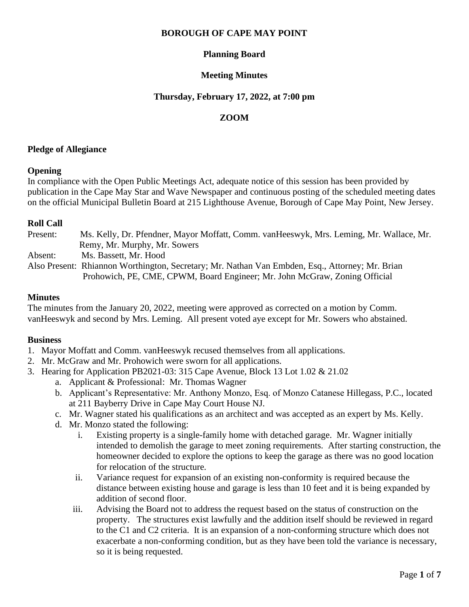## **BOROUGH OF CAPE MAY POINT**

# **Planning Board**

## **Meeting Minutes**

#### **Thursday, February 17, 2022, at 7:00 pm**

# **ZOOM**

### **Pledge of Allegiance**

## **Opening**

In compliance with the Open Public Meetings Act, adequate notice of this session has been provided by publication in the Cape May Star and Wave Newspaper and continuous posting of the scheduled meeting dates on the official Municipal Bulletin Board at 215 Lighthouse Avenue, Borough of Cape May Point, New Jersey.

## **Roll Call**

Present: Ms. Kelly, Dr. Pfendner, Mayor Moffatt, Comm. vanHeeswyk, Mrs. Leming, Mr. Wallace, Mr. Remy, Mr. Murphy, Mr. Sowers Absent: Ms. Bassett, Mr. Hood Also Present: Rhiannon Worthington, Secretary; Mr. Nathan Van Embden, Esq., Attorney; Mr. Brian Prohowich, PE, CME, CPWM, Board Engineer; Mr. John McGraw, Zoning Official

## **Minutes**

The minutes from the January 20, 2022, meeting were approved as corrected on a motion by Comm. vanHeeswyk and second by Mrs. Leming. All present voted aye except for Mr. Sowers who abstained.

#### **Business**

- 1. Mayor Moffatt and Comm. vanHeeswyk recused themselves from all applications.
- 2. Mr. McGraw and Mr. Prohowich were sworn for all applications.
- 3. Hearing for Application PB2021-03: 315 Cape Avenue, Block 13 Lot 1.02 & 21.02
	- a. Applicant & Professional: Mr. Thomas Wagner
	- b. Applicant's Representative: Mr. Anthony Monzo, Esq. of Monzo Catanese Hillegass, P.C., located at 211 Bayberry Drive in Cape May Court House NJ.
	- c. Mr. Wagner stated his qualifications as an architect and was accepted as an expert by Ms. Kelly.
	- d. Mr. Monzo stated the following:
		- i. Existing property is a single-family home with detached garage. Mr. Wagner initially intended to demolish the garage to meet zoning requirements. After starting construction, the homeowner decided to explore the options to keep the garage as there was no good location for relocation of the structure.
		- ii. Variance request for expansion of an existing non-conformity is required because the distance between existing house and garage is less than 10 feet and it is being expanded by addition of second floor.
		- iii. Advising the Board not to address the request based on the status of construction on the property. The structures exist lawfully and the addition itself should be reviewed in regard to the C1 and C2 criteria. It is an expansion of a non-conforming structure which does not exacerbate a non-conforming condition, but as they have been told the variance is necessary, so it is being requested.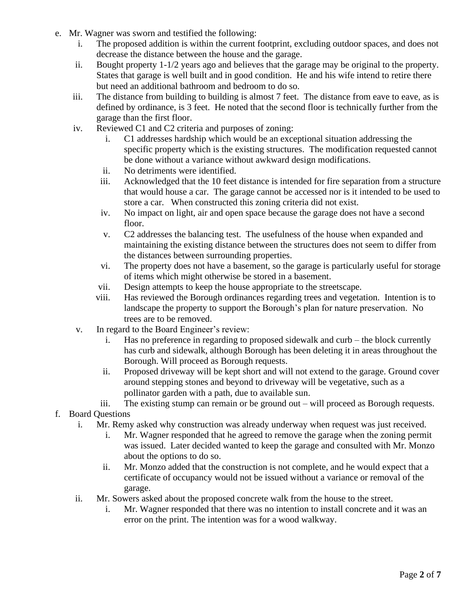- e. Mr. Wagner was sworn and testified the following:
	- i. The proposed addition is within the current footprint, excluding outdoor spaces, and does not decrease the distance between the house and the garage.
	- ii. Bought property 1-1/2 years ago and believes that the garage may be original to the property. States that garage is well built and in good condition. He and his wife intend to retire there but need an additional bathroom and bedroom to do so.
	- iii. The distance from building to building is almost 7 feet. The distance from eave to eave, as is defined by ordinance, is 3 feet. He noted that the second floor is technically further from the garage than the first floor.
	- iv. Reviewed C1 and C2 criteria and purposes of zoning:
		- i. C1 addresses hardship which would be an exceptional situation addressing the specific property which is the existing structures. The modification requested cannot be done without a variance without awkward design modifications.
		- ii. No detriments were identified.
		- iii. Acknowledged that the 10 feet distance is intended for fire separation from a structure that would house a car. The garage cannot be accessed nor is it intended to be used to store a car. When constructed this zoning criteria did not exist.
		- iv. No impact on light, air and open space because the garage does not have a second floor.
		- v. C2 addresses the balancing test. The usefulness of the house when expanded and maintaining the existing distance between the structures does not seem to differ from the distances between surrounding properties.
		- vi. The property does not have a basement, so the garage is particularly useful for storage of items which might otherwise be stored in a basement.
		- vii. Design attempts to keep the house appropriate to the streetscape.
		- viii. Has reviewed the Borough ordinances regarding trees and vegetation. Intention is to landscape the property to support the Borough's plan for nature preservation. No trees are to be removed.
	- v. In regard to the Board Engineer's review:
		- i. Has no preference in regarding to proposed sidewalk and curb the block currently has curb and sidewalk, although Borough has been deleting it in areas throughout the Borough. Will proceed as Borough requests.
		- ii. Proposed driveway will be kept short and will not extend to the garage. Ground cover around stepping stones and beyond to driveway will be vegetative, such as a pollinator garden with a path, due to available sun.
		- iii. The existing stump can remain or be ground out will proceed as Borough requests.
- f. Board Questions
	- i. Mr. Remy asked why construction was already underway when request was just received.
		- i. Mr. Wagner responded that he agreed to remove the garage when the zoning permit was issued. Later decided wanted to keep the garage and consulted with Mr. Monzo about the options to do so.
		- ii. Mr. Monzo added that the construction is not complete, and he would expect that a certificate of occupancy would not be issued without a variance or removal of the garage.
	- ii. Mr. Sowers asked about the proposed concrete walk from the house to the street.
		- i. Mr. Wagner responded that there was no intention to install concrete and it was an error on the print. The intention was for a wood walkway.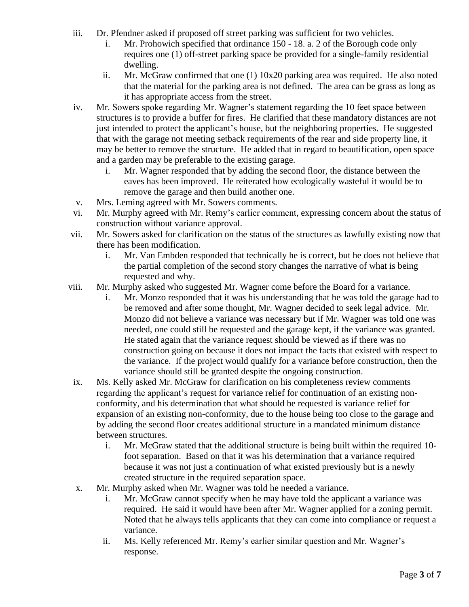- iii. Dr. Pfendner asked if proposed off street parking was sufficient for two vehicles.
	- i. Mr. Prohowich specified that ordinance 150 18. a. 2 of the Borough code only requires one (1) off-street parking space be provided for a single-family residential dwelling.
	- ii. Mr. McGraw confirmed that one (1) 10x20 parking area was required. He also noted that the material for the parking area is not defined. The area can be grass as long as it has appropriate access from the street.
- iv. Mr. Sowers spoke regarding Mr. Wagner's statement regarding the 10 feet space between structures is to provide a buffer for fires. He clarified that these mandatory distances are not just intended to protect the applicant's house, but the neighboring properties. He suggested that with the garage not meeting setback requirements of the rear and side property line, it may be better to remove the structure. He added that in regard to beautification, open space and a garden may be preferable to the existing garage.
	- i. Mr. Wagner responded that by adding the second floor, the distance between the eaves has been improved. He reiterated how ecologically wasteful it would be to remove the garage and then build another one.
- v. Mrs. Leming agreed with Mr. Sowers comments.
- vi. Mr. Murphy agreed with Mr. Remy's earlier comment, expressing concern about the status of construction without variance approval.
- vii. Mr. Sowers asked for clarification on the status of the structures as lawfully existing now that there has been modification.
	- i. Mr. Van Embden responded that technically he is correct, but he does not believe that the partial completion of the second story changes the narrative of what is being requested and why.
- viii. Mr. Murphy asked who suggested Mr. Wagner come before the Board for a variance.
	- i. Mr. Monzo responded that it was his understanding that he was told the garage had to be removed and after some thought, Mr. Wagner decided to seek legal advice. Mr. Monzo did not believe a variance was necessary but if Mr. Wagner was told one was needed, one could still be requested and the garage kept, if the variance was granted. He stated again that the variance request should be viewed as if there was no construction going on because it does not impact the facts that existed with respect to the variance. If the project would qualify for a variance before construction, then the variance should still be granted despite the ongoing construction.
- ix. Ms. Kelly asked Mr. McGraw for clarification on his completeness review comments regarding the applicant's request for variance relief for continuation of an existing nonconformity, and his determination that what should be requested is variance relief for expansion of an existing non-conformity, due to the house being too close to the garage and by adding the second floor creates additional structure in a mandated minimum distance between structures.
	- i. Mr. McGraw stated that the additional structure is being built within the required 10 foot separation. Based on that it was his determination that a variance required because it was not just a continuation of what existed previously but is a newly created structure in the required separation space.
- x. Mr. Murphy asked when Mr. Wagner was told he needed a variance.
	- i. Mr. McGraw cannot specify when he may have told the applicant a variance was required. He said it would have been after Mr. Wagner applied for a zoning permit. Noted that he always tells applicants that they can come into compliance or request a variance.
	- ii. Ms. Kelly referenced Mr. Remy's earlier similar question and Mr. Wagner's response.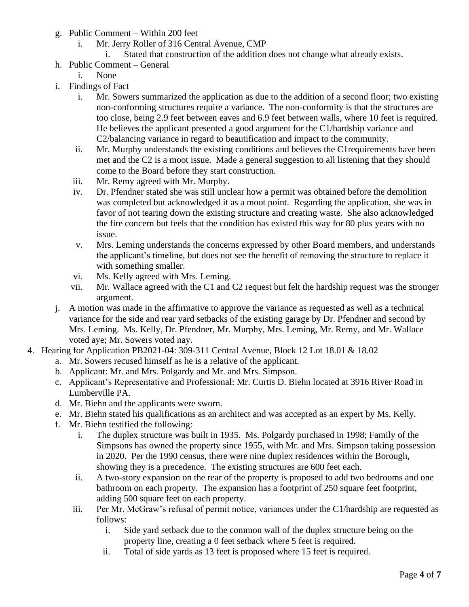- g. Public Comment Within 200 feet
	- i. Mr. Jerry Roller of 316 Central Avenue, CMP
		- i. Stated that construction of the addition does not change what already exists.
- h. Public Comment General
	- i. None
- i. Findings of Fact
	- i. Mr. Sowers summarized the application as due to the addition of a second floor; two existing non-conforming structures require a variance. The non-conformity is that the structures are too close, being 2.9 feet between eaves and 6.9 feet between walls, where 10 feet is required. He believes the applicant presented a good argument for the C1/hardship variance and C2/balancing variance in regard to beautification and impact to the community.
	- ii. Mr. Murphy understands the existing conditions and believes the C1requirements have been met and the C2 is a moot issue. Made a general suggestion to all listening that they should come to the Board before they start construction.
	- iii. Mr. Remy agreed with Mr. Murphy.
	- iv. Dr. Pfendner stated she was still unclear how a permit was obtained before the demolition was completed but acknowledged it as a moot point. Regarding the application, she was in favor of not tearing down the existing structure and creating waste. She also acknowledged the fire concern but feels that the condition has existed this way for 80 plus years with no issue.
	- v. Mrs. Leming understands the concerns expressed by other Board members, and understands the applicant's timeline, but does not see the benefit of removing the structure to replace it with something smaller.
	- vi. Ms. Kelly agreed with Mrs. Leming.
	- vii. Mr. Wallace agreed with the C1 and C2 request but felt the hardship request was the stronger argument.
- j. A motion was made in the affirmative to approve the variance as requested as well as a technical variance for the side and rear yard setbacks of the existing garage by Dr. Pfendner and second by Mrs. Leming. Ms. Kelly, Dr. Pfendner, Mr. Murphy, Mrs. Leming, Mr. Remy, and Mr. Wallace voted aye; Mr. Sowers voted nay.
- 4. Hearing for Application PB2021-04: 309-311 Central Avenue, Block 12 Lot 18.01 & 18.02
	- a. Mr. Sowers recused himself as he is a relative of the applicant.
	- b. Applicant: Mr. and Mrs. Polgardy and Mr. and Mrs. Simpson.
	- c. Applicant's Representative and Professional: Mr. Curtis D. Biehn located at 3916 River Road in Lumberville PA.
	- d. Mr. Biehn and the applicants were sworn.
	- e. Mr. Biehn stated his qualifications as an architect and was accepted as an expert by Ms. Kelly.
	- f. Mr. Biehn testified the following:
		- i. The duplex structure was built in 1935. Ms. Polgardy purchased in 1998; Family of the Simpsons has owned the property since 1955, with Mr. and Mrs. Simpson taking possession in 2020. Per the 1990 census, there were nine duplex residences within the Borough, showing they is a precedence. The existing structures are 600 feet each.
		- ii. A two-story expansion on the rear of the property is proposed to add two bedrooms and one bathroom on each property. The expansion has a footprint of 250 square feet footprint, adding 500 square feet on each property.
		- iii. Per Mr. McGraw's refusal of permit notice, variances under the C1/hardship are requested as follows:
			- i. Side yard setback due to the common wall of the duplex structure being on the property line, creating a 0 feet setback where 5 feet is required.
			- ii. Total of side yards as 13 feet is proposed where 15 feet is required.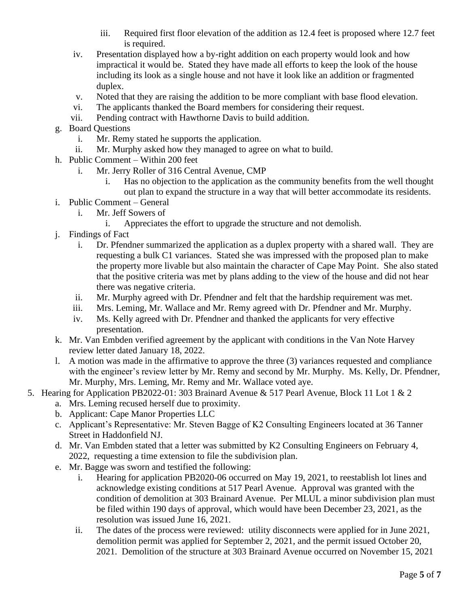- iii. Required first floor elevation of the addition as 12.4 feet is proposed where 12.7 feet is required.
- iv. Presentation displayed how a by-right addition on each property would look and how impractical it would be. Stated they have made all efforts to keep the look of the house including its look as a single house and not have it look like an addition or fragmented duplex.
- v. Noted that they are raising the addition to be more compliant with base flood elevation.
- vi. The applicants thanked the Board members for considering their request.
- vii. Pending contract with Hawthorne Davis to build addition.
- g. Board Questions
	- i. Mr. Remy stated he supports the application.
	- ii. Mr. Murphy asked how they managed to agree on what to build.
- h. Public Comment Within 200 feet
	- i. Mr. Jerry Roller of 316 Central Avenue, CMP
		- i. Has no objection to the application as the community benefits from the well thought out plan to expand the structure in a way that will better accommodate its residents.
- i. Public Comment General
	- i. Mr. Jeff Sowers of
		- i. Appreciates the effort to upgrade the structure and not demolish.
- j. Findings of Fact
	- i. Dr. Pfendner summarized the application as a duplex property with a shared wall. They are requesting a bulk C1 variances. Stated she was impressed with the proposed plan to make the property more livable but also maintain the character of Cape May Point. She also stated that the positive criteria was met by plans adding to the view of the house and did not hear there was negative criteria.
	- ii. Mr. Murphy agreed with Dr. Pfendner and felt that the hardship requirement was met.
	- iii. Mrs. Leming, Mr. Wallace and Mr. Remy agreed with Dr. Pfendner and Mr. Murphy.
	- iv. Ms. Kelly agreed with Dr. Pfendner and thanked the applicants for very effective presentation.
- k. Mr. Van Embden verified agreement by the applicant with conditions in the Van Note Harvey review letter dated January 18, 2022.
- l. A motion was made in the affirmative to approve the three (3) variances requested and compliance with the engineer's review letter by Mr. Remy and second by Mr. Murphy. Ms. Kelly, Dr. Pfendner, Mr. Murphy, Mrs. Leming, Mr. Remy and Mr. Wallace voted aye.
- 5. Hearing for Application PB2022-01: 303 Brainard Avenue & 517 Pearl Avenue, Block 11 Lot 1 & 2
	- a. Mrs. Leming recused herself due to proximity.
	- b. Applicant: Cape Manor Properties LLC
	- c. Applicant's Representative: Mr. Steven Bagge of K2 Consulting Engineers located at 36 Tanner Street in Haddonfield NJ.
	- d. Mr. Van Embden stated that a letter was submitted by K2 Consulting Engineers on February 4, 2022, requesting a time extension to file the subdivision plan.
	- e. Mr. Bagge was sworn and testified the following:
		- i. Hearing for application PB2020-06 occurred on May 19, 2021, to reestablish lot lines and acknowledge existing conditions at 517 Pearl Avenue. Approval was granted with the condition of demolition at 303 Brainard Avenue. Per MLUL a minor subdivision plan must be filed within 190 days of approval, which would have been December 23, 2021, as the resolution was issued June 16, 2021.
		- ii. The dates of the process were reviewed: utility disconnects were applied for in June 2021, demolition permit was applied for September 2, 2021, and the permit issued October 20, 2021. Demolition of the structure at 303 Brainard Avenue occurred on November 15, 2021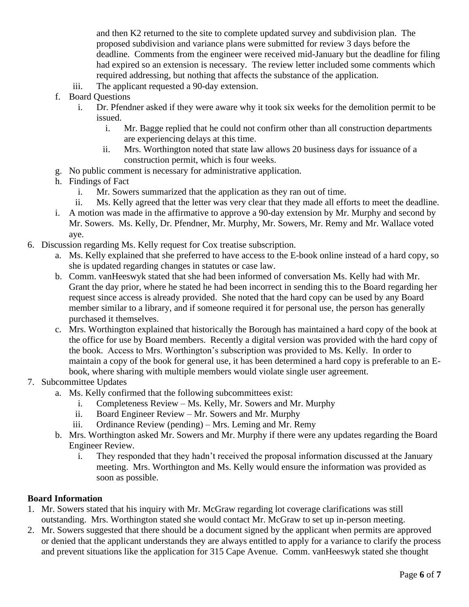and then K2 returned to the site to complete updated survey and subdivision plan. The proposed subdivision and variance plans were submitted for review 3 days before the deadline. Comments from the engineer were received mid-January but the deadline for filing had expired so an extension is necessary. The review letter included some comments which required addressing, but nothing that affects the substance of the application.

- iii. The applicant requested a 90-day extension.
- f. Board Questions
	- i. Dr. Pfendner asked if they were aware why it took six weeks for the demolition permit to be issued.
		- i. Mr. Bagge replied that he could not confirm other than all construction departments are experiencing delays at this time.
		- ii. Mrs. Worthington noted that state law allows 20 business days for issuance of a construction permit, which is four weeks.
- g. No public comment is necessary for administrative application.
- h. Findings of Fact
	- i. Mr. Sowers summarized that the application as they ran out of time.
	- ii. Ms. Kelly agreed that the letter was very clear that they made all efforts to meet the deadline.
- i. A motion was made in the affirmative to approve a 90-day extension by Mr. Murphy and second by Mr. Sowers. Ms. Kelly, Dr. Pfendner, Mr. Murphy, Mr. Sowers, Mr. Remy and Mr. Wallace voted aye.
- 6. Discussion regarding Ms. Kelly request for Cox treatise subscription.
	- a. Ms. Kelly explained that she preferred to have access to the E-book online instead of a hard copy, so she is updated regarding changes in statutes or case law.
	- b. Comm. vanHeeswyk stated that she had been informed of conversation Ms. Kelly had with Mr. Grant the day prior, where he stated he had been incorrect in sending this to the Board regarding her request since access is already provided. She noted that the hard copy can be used by any Board member similar to a library, and if someone required it for personal use, the person has generally purchased it themselves.
	- c. Mrs. Worthington explained that historically the Borough has maintained a hard copy of the book at the office for use by Board members. Recently a digital version was provided with the hard copy of the book. Access to Mrs. Worthington's subscription was provided to Ms. Kelly. In order to maintain a copy of the book for general use, it has been determined a hard copy is preferable to an Ebook, where sharing with multiple members would violate single user agreement.
- 7. Subcommittee Updates
	- a. Ms. Kelly confirmed that the following subcommittees exist:
		- i. Completeness Review Ms. Kelly, Mr. Sowers and Mr. Murphy
		- ii. Board Engineer Review Mr. Sowers and Mr. Murphy
		- iii. Ordinance Review (pending) Mrs. Leming and Mr. Remy
	- b. Mrs. Worthington asked Mr. Sowers and Mr. Murphy if there were any updates regarding the Board Engineer Review.
		- i. They responded that they hadn't received the proposal information discussed at the January meeting. Mrs. Worthington and Ms. Kelly would ensure the information was provided as soon as possible.

#### **Board Information**

- 1. Mr. Sowers stated that his inquiry with Mr. McGraw regarding lot coverage clarifications was still outstanding. Mrs. Worthington stated she would contact Mr. McGraw to set up in-person meeting.
- 2. Mr. Sowers suggested that there should be a document signed by the applicant when permits are approved or denied that the applicant understands they are always entitled to apply for a variance to clarify the process and prevent situations like the application for 315 Cape Avenue. Comm. vanHeeswyk stated she thought